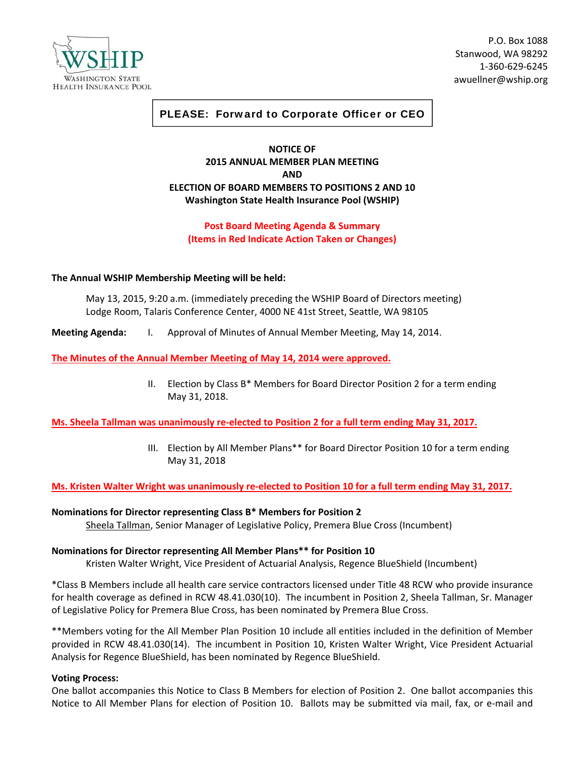

P.O. Box 1088 Stanwood, WA 98292 1‐360‐629‐6245 awuellner@wship.org

# PLEASE: Forward to Corporate Officer or CEO

# **NOTICE OF 2015 ANNUAL MEMBER PLAN MEETING AND ELECTION OF BOARD MEMBERS TO POSITIONS 2 AND 10 Washington State Health Insurance Pool (WSHIP)**

## **Post Board Meeting Agenda & Summary (Items in Red Indicate Action Taken or Changes)**

### **The Annual WSHIP Membership Meeting will be held:**

May 13, 2015, 9:20 a.m. (immediately preceding the WSHIP Board of Directors meeting) Lodge Room, Talaris Conference Center, 4000 NE 41st Street, Seattle, WA 98105

**Meeting Agenda:** I. Approval of Minutes of Annual Member Meeting, May 14, 2014.

**The Minutes of the Annual Member Meeting of May 14, 2014 were approved.** 

II. Election by Class B\* Members for Board Director Position 2 for a term ending May 31, 2018.

Ms. Sheela Tallman was unanimously re-elected to Position 2 for a full term ending May 31, 2017.

III. Election by All Member Plans\*\* for Board Director Position 10 for a term ending May 31, 2018

Ms. Kristen Walter Wright was unanimously re-elected to Position 10 for a full term ending May 31, 2017.

**Nominations for Director representing Class B\* Members for Position 2**

Sheela Tallman, Senior Manager of Legislative Policy, Premera Blue Cross (Incumbent)

### **Nominations for Director representing All Member Plans\*\* for Position 10**

Kristen Walter Wright, Vice President of Actuarial Analysis, Regence BlueShield (Incumbent)

\*Class B Members include all health care service contractors licensed under Title 48 RCW who provide insurance for health coverage as defined in RCW 48.41.030(10). The incumbent in Position 2, Sheela Tallman, Sr. Manager of Legislative Policy for Premera Blue Cross, has been nominated by Premera Blue Cross.

\*\*Members voting for the All Member Plan Position 10 include all entities included in the definition of Member provided in RCW 48.41.030(14). The incumbent in Position 10, Kristen Walter Wright, Vice President Actuarial Analysis for Regence BlueShield, has been nominated by Regence BlueShield.

### **Voting Process:**

One ballot accompanies this Notice to Class B Members for election of Position 2. One ballot accompanies this Notice to All Member Plans for election of Position 10. Ballots may be submitted via mail, fax, or e‐mail and